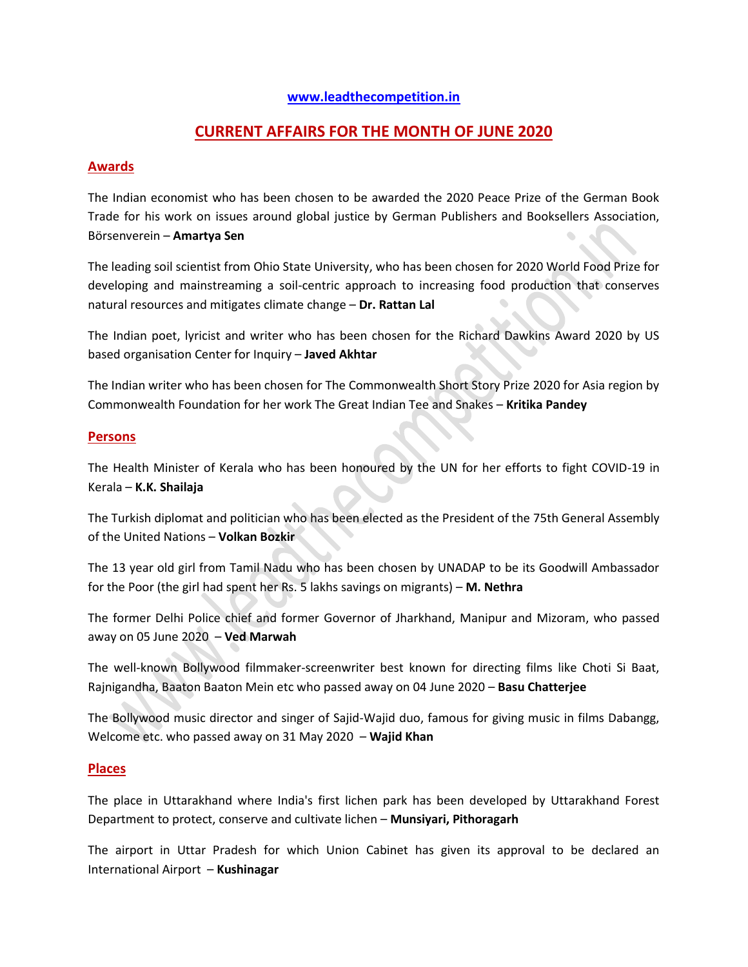#### **[www.leadthecompetition.in](http://www.leadthecompetition.in/)**

# **CURRENT AFFAIRS FOR THE MONTH OF JUNE 2020**

#### **Awards**

The Indian economist who has been chosen to be awarded the 2020 Peace Prize of the German Book Trade for his work on issues around global justice by German Publishers and Booksellers Association, Börsenverein – **Amartya Sen**

The leading soil scientist from Ohio State University, who has been chosen for 2020 World Food Prize for developing and mainstreaming a soil-centric approach to increasing food production that conserves natural resources and mitigates climate change – **Dr. Rattan Lal**

The Indian poet, lyricist and writer who has been chosen for the Richard Dawkins Award 2020 by US based organisation Center for Inquiry – **Javed Akhtar**

The Indian writer who has been chosen for The Commonwealth Short Story Prize 2020 for Asia region by Commonwealth Foundation for her work The Great Indian Tee and Snakes – **Kritika Pandey**

#### **Persons**

The Health Minister of Kerala who has been honoured by the UN for her efforts to fight COVID-19 in Kerala – **K.K. Shailaja**

The Turkish diplomat and politician who has been elected as the President of the 75th General Assembly of the United Nations – **Volkan Bozkir**

The 13 year old girl from Tamil Nadu who has been chosen by UNADAP to be its Goodwill Ambassador for the Poor (the girl had spent her Rs. 5 lakhs savings on migrants) – **M. Nethra**

The former Delhi Police chief and former Governor of Jharkhand, Manipur and Mizoram, who passed away on 05 June 2020 – **Ved Marwah**

The well-known Bollywood filmmaker-screenwriter best known for directing films like Choti Si Baat, Rajnigandha, Baaton Baaton Mein etc who passed away on 04 June 2020 – **Basu Chatterjee**

The Bollywood music director and singer of Sajid-Wajid duo, famous for giving music in films Dabangg, Welcome etc. who passed away on 31 May 2020 – **Wajid Khan**

#### **Places**

The place in Uttarakhand where India's first lichen park has been developed by Uttarakhand Forest Department to protect, conserve and cultivate lichen – **Munsiyari, Pithoragarh**

The airport in Uttar Pradesh for which Union Cabinet has given its approval to be declared an International Airport – **Kushinagar**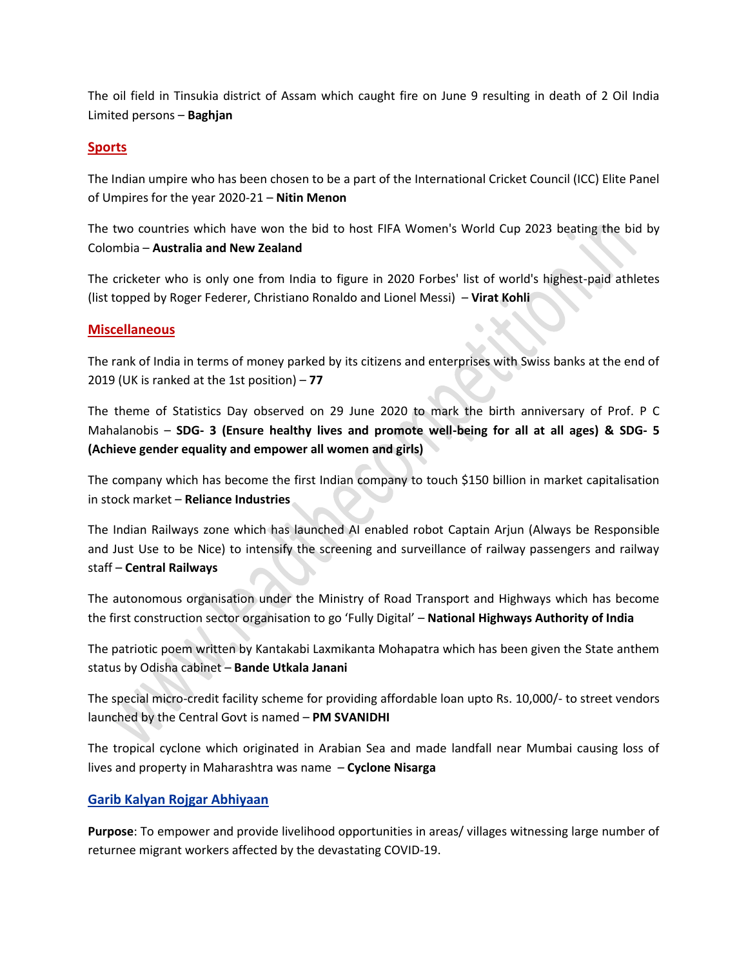The oil field in Tinsukia district of Assam which caught fire on June 9 resulting in death of 2 Oil India Limited persons – **Baghjan**

#### **Sports**

The Indian umpire who has been chosen to be a part of the International Cricket Council (ICC) Elite Panel of Umpires for the year 2020-21 – **Nitin Menon**

The two countries which have won the bid to host FIFA Women's World Cup 2023 beating the bid by Colombia – **Australia and New Zealand**

The cricketer who is only one from India to figure in 2020 Forbes' list of world's highest-paid athletes (list topped by Roger Federer, Christiano Ronaldo and Lionel Messi) – **Virat Kohli**

#### **Miscellaneous**

The rank of India in terms of money parked by its citizens and enterprises with Swiss banks at the end of 2019 (UK is ranked at the 1st position) – **77**

The theme of Statistics Day observed on 29 June 2020 to mark the birth anniversary of Prof. P C Mahalanobis – **SDG- 3 (Ensure healthy lives and promote well-being for all at all ages) & SDG- 5 (Achieve gender equality and empower all women and girls)**

The company which has become the first Indian company to touch \$150 billion in market capitalisation in stock market – **Reliance Industries**

The Indian Railways zone which has launched AI enabled robot Captain Arjun (Always be Responsible and Just Use to be Nice) to intensify the screening and surveillance of railway passengers and railway staff – **Central Railways**

The autonomous organisation under the Ministry of Road Transport and Highways which has become the first construction sector organisation to go 'Fully Digital' – **National Highways Authority of India**

The patriotic poem written by Kantakabi Laxmikanta Mohapatra which has been given the State anthem status by Odisha cabinet – **Bande Utkala Janani**

The special micro-credit facility scheme for providing affordable loan upto Rs. 10,000/- to street vendors launched by the Central Govt is named – **PM SVANIDHI**

The tropical cyclone which originated in Arabian Sea and made landfall near Mumbai causing loss of lives and property in Maharashtra was name – **Cyclone Nisarga**

#### **Garib Kalyan Rojgar Abhiyaan**

**Purpose**: To empower and provide livelihood opportunities in areas/ villages witnessing large number of returnee migrant workers affected by the devastating COVID-19.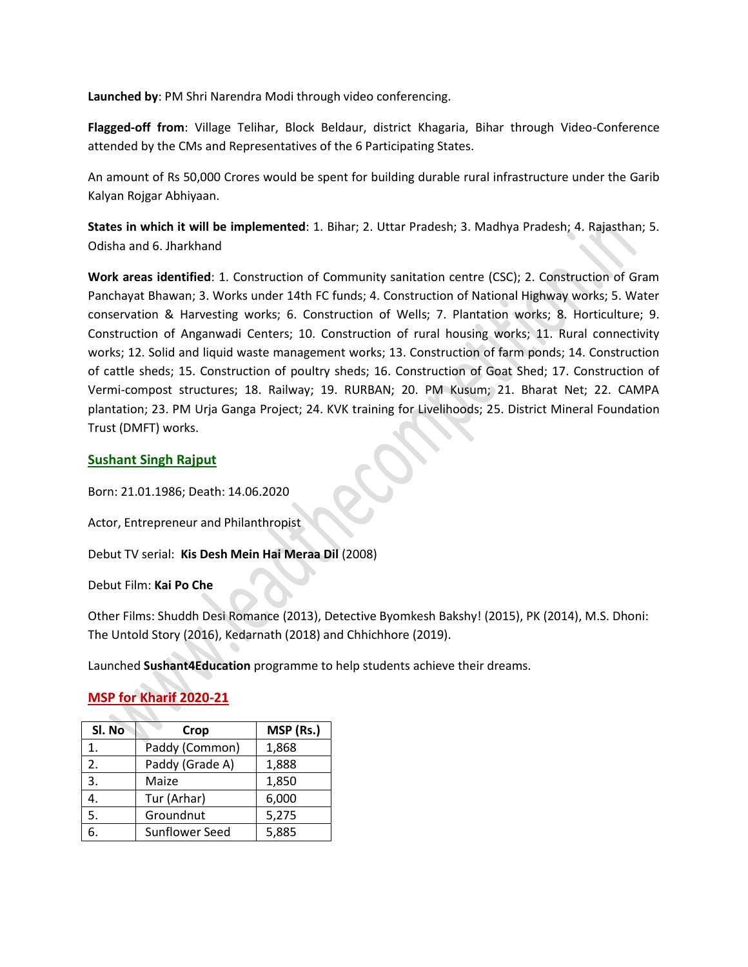**Launched by**: PM Shri Narendra Modi through video conferencing.

**Flagged-off from**: Village Telihar, Block Beldaur, district Khagaria, Bihar through Video-Conference attended by the CMs and Representatives of the 6 Participating States.

An amount of Rs 50,000 Crores would be spent for building durable rural infrastructure under the Garib Kalyan Rojgar Abhiyaan.

**States in which it will be implemented**: 1. Bihar; 2. Uttar Pradesh; 3. Madhya Pradesh; 4. Rajasthan; 5. Odisha and 6. Jharkhand

**Work areas identified**: 1. Construction of Community sanitation centre (CSC); 2. Construction of Gram Panchayat Bhawan; 3. Works under 14th FC funds; 4. Construction of National Highway works; 5. Water conservation & Harvesting works; 6. Construction of Wells; 7. Plantation works; 8. Horticulture; 9. Construction of Anganwadi Centers; 10. Construction of rural housing works; 11. Rural connectivity works; 12. Solid and liquid waste management works; 13. Construction of farm ponds; 14. Construction of cattle sheds; 15. Construction of poultry sheds; 16. Construction of Goat Shed; 17. Construction of Vermi-compost structures; 18. Railway; 19. RURBAN; 20. PM Kusum; 21. Bharat Net; 22. CAMPA plantation; 23. PM Urja Ganga Project; 24. KVK training for Livelihoods; 25. District Mineral Foundation Trust (DMFT) works.

#### **Sushant Singh Rajput**

Born: 21.01.1986; Death: 14.06.2020

Actor, Entrepreneur and Philanthropist

Debut TV serial: **Kis Desh Mein Hai Meraa Dil** (2008)

Debut Film: **Kai Po Che**

Other Films: Shuddh Desi Romance (2013), Detective Byomkesh Bakshy! (2015), PK (2014), M.S. Dhoni: The Untold Story (2016), Kedarnath (2018) and Chhichhore (2019).

Launched **Sushant4Education** programme to help students achieve their dreams.

#### **MSP for Kharif 2020-21**

| Sl. No | Crop            | MSP (Rs.) |
|--------|-----------------|-----------|
| 1.     | Paddy (Common)  | 1,868     |
| 2.     | Paddy (Grade A) | 1,888     |
| 3.     | Maize           | 1,850     |
|        | Tur (Arhar)     | 6,000     |
| 5.     | Groundnut       | 5,275     |
|        | Sunflower Seed  | 5,885     |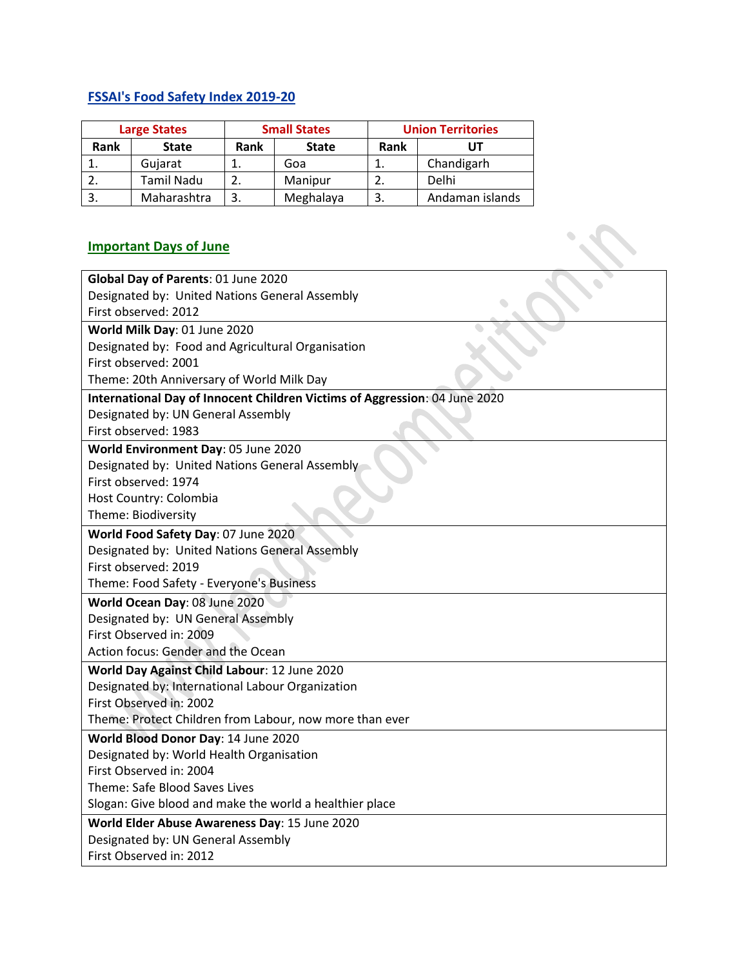# **FSSAI's Food Safety Index 2019-20**

| <b>Large States</b> |              |      | <b>Small States</b> | <b>Union Territories</b> |                 |
|---------------------|--------------|------|---------------------|--------------------------|-----------------|
| <b>Rank</b>         | <b>State</b> | Rank | <b>State</b>        | Rank                     |                 |
|                     | Gujarat      |      | Goa                 |                          | Chandigarh      |
|                     | Tamil Nadu   |      | Manipur             |                          | Delhi           |
|                     | Maharashtra  |      | Meghalaya           |                          | Andaman islands |

# **Important Days of June**

| Rank                                                          | <b>State</b>                                                                                                  | Rank | <b>State</b>                                                               | Rank | UT              |  |
|---------------------------------------------------------------|---------------------------------------------------------------------------------------------------------------|------|----------------------------------------------------------------------------|------|-----------------|--|
| 1.                                                            | Gujarat                                                                                                       | 1.   | Goa                                                                        | 1.   | Chandigarh      |  |
| 2.                                                            | <b>Tamil Nadu</b>                                                                                             | 2.   | Manipur                                                                    | 2.   | Delhi           |  |
| 3.                                                            | Maharashtra                                                                                                   | 3.   | Meghalaya                                                                  | 3.   | Andaman islands |  |
|                                                               | <b>Important Days of June</b>                                                                                 |      |                                                                            |      |                 |  |
|                                                               | Global Day of Parents: 01 June 2020<br>Designated by: United Nations General Assembly<br>First observed: 2012 |      |                                                                            |      |                 |  |
|                                                               | World Milk Day: 01 June 2020                                                                                  |      |                                                                            |      |                 |  |
|                                                               |                                                                                                               |      | Designated by: Food and Agricultural Organisation                          |      |                 |  |
|                                                               | First observed: 2001                                                                                          |      |                                                                            |      |                 |  |
|                                                               | Theme: 20th Anniversary of World Milk Day                                                                     |      |                                                                            |      |                 |  |
|                                                               |                                                                                                               |      | International Day of Innocent Children Victims of Aggression: 04 June 2020 |      |                 |  |
|                                                               | Designated by: UN General Assembly                                                                            |      |                                                                            |      |                 |  |
|                                                               | First observed: 1983                                                                                          |      |                                                                            |      |                 |  |
|                                                               | World Environment Day: 05 June 2020                                                                           |      |                                                                            |      |                 |  |
|                                                               | Designated by: United Nations General Assembly                                                                |      |                                                                            |      |                 |  |
|                                                               | First observed: 1974                                                                                          |      |                                                                            |      |                 |  |
|                                                               | Host Country: Colombia                                                                                        |      |                                                                            |      |                 |  |
|                                                               | Theme: Biodiversity                                                                                           |      |                                                                            |      |                 |  |
|                                                               | World Food Safety Day: 07 June 2020                                                                           |      |                                                                            |      |                 |  |
|                                                               | Designated by: United Nations General Assembly                                                                |      |                                                                            |      |                 |  |
|                                                               | First observed: 2019                                                                                          |      |                                                                            |      |                 |  |
|                                                               | Theme: Food Safety - Everyone's Business                                                                      |      |                                                                            |      |                 |  |
|                                                               | World Ocean Day: 08 June 2020                                                                                 |      |                                                                            |      |                 |  |
|                                                               | Designated by: UN General Assembly                                                                            |      |                                                                            |      |                 |  |
| First Observed in: 2009<br>Action focus: Gender and the Ocean |                                                                                                               |      |                                                                            |      |                 |  |
| World Day Against Child Labour: 12 June 2020                  |                                                                                                               |      |                                                                            |      |                 |  |
| Designated by: International Labour Organization              |                                                                                                               |      |                                                                            |      |                 |  |
| First Observed in: 2002                                       |                                                                                                               |      |                                                                            |      |                 |  |
| Theme: Protect Children from Labour, now more than ever       |                                                                                                               |      |                                                                            |      |                 |  |
| World Blood Donor Day: 14 June 2020                           |                                                                                                               |      |                                                                            |      |                 |  |
| Designated by: World Health Organisation                      |                                                                                                               |      |                                                                            |      |                 |  |
| First Observed in: 2004                                       |                                                                                                               |      |                                                                            |      |                 |  |
| Theme: Safe Blood Saves Lives                                 |                                                                                                               |      |                                                                            |      |                 |  |
| Slogan: Give blood and make the world a healthier place       |                                                                                                               |      |                                                                            |      |                 |  |
| World Elder Abuse Awareness Day: 15 June 2020                 |                                                                                                               |      |                                                                            |      |                 |  |
| Designated by: UN General Assembly                            |                                                                                                               |      |                                                                            |      |                 |  |
|                                                               | First Observed in: 2012                                                                                       |      |                                                                            |      |                 |  |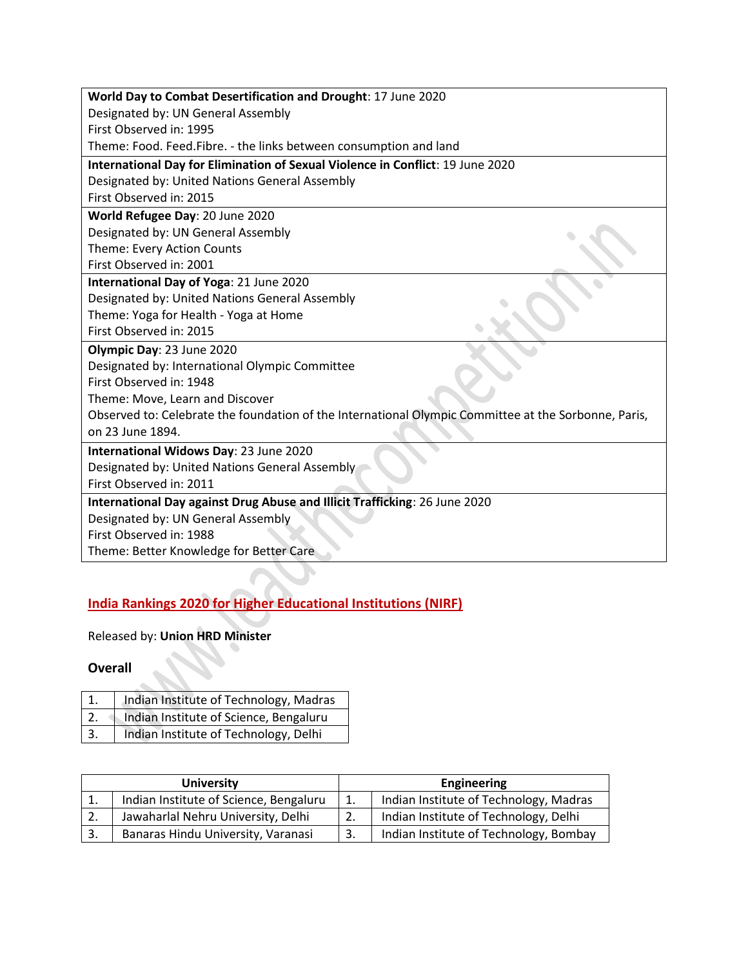| World Day to Combat Desertification and Drought: 17 June 2020                                        |
|------------------------------------------------------------------------------------------------------|
| Designated by: UN General Assembly                                                                   |
| First Observed in: 1995                                                                              |
| Theme: Food. Feed. Fibre. - the links between consumption and land                                   |
| International Day for Elimination of Sexual Violence in Conflict: 19 June 2020                       |
| Designated by: United Nations General Assembly                                                       |
| First Observed in: 2015                                                                              |
| World Refugee Day: 20 June 2020                                                                      |
| Designated by: UN General Assembly                                                                   |
| Theme: Every Action Counts                                                                           |
| First Observed in: 2001                                                                              |
| International Day of Yoga: 21 June 2020                                                              |
| Designated by: United Nations General Assembly                                                       |
| Theme: Yoga for Health - Yoga at Home                                                                |
| First Observed in: 2015                                                                              |
| Olympic Day: 23 June 2020                                                                            |
| Designated by: International Olympic Committee                                                       |
| First Observed in: 1948                                                                              |
| Theme: Move, Learn and Discover                                                                      |
| Observed to: Celebrate the foundation of the International Olympic Committee at the Sorbonne, Paris, |
| on 23 June 1894.                                                                                     |
| International Widows Day: 23 June 2020                                                               |
| Designated by: United Nations General Assembly                                                       |
| First Observed in: 2011                                                                              |
| International Day against Drug Abuse and Illicit Trafficking: 26 June 2020                           |
| Designated by: UN General Assembly                                                                   |
| First Observed in: 1988                                                                              |
| Theme: Better Knowledge for Better Care                                                              |
|                                                                                                      |
|                                                                                                      |

# **India Rankings 2020 for Higher Educational Institutions (NIRF)**

Released by: **Union HRD Minister**

# **Overall**

|    | Indian Institute of Technology, Madras |
|----|----------------------------------------|
|    | Indian Institute of Science, Bengaluru |
| 3. | Indian Institute of Technology, Delhi  |

| <b>University</b> |                                        |     | <b>Engineering</b>                     |  |  |
|-------------------|----------------------------------------|-----|----------------------------------------|--|--|
|                   | Indian Institute of Science, Bengaluru | 1.  | Indian Institute of Technology, Madras |  |  |
|                   | Jawaharlal Nehru University, Delhi     |     | Indian Institute of Technology, Delhi  |  |  |
|                   | Banaras Hindu University, Varanasi     | -3. | Indian Institute of Technology, Bombay |  |  |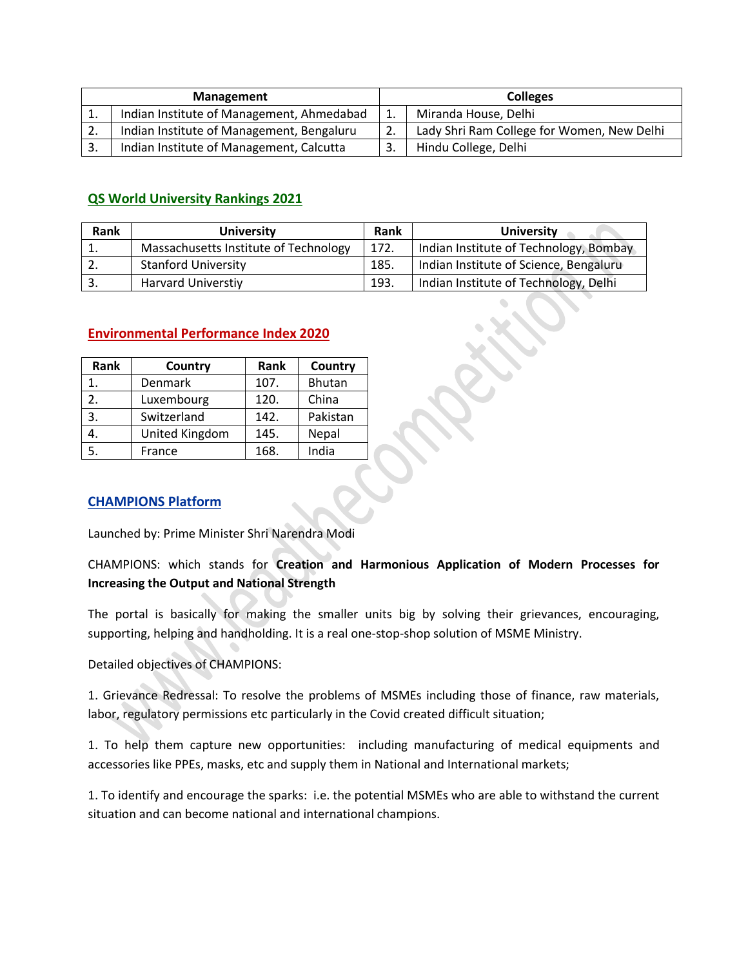| Management |                                           | <b>Colleges</b> |                                            |
|------------|-------------------------------------------|-----------------|--------------------------------------------|
| 1.         | Indian Institute of Management, Ahmedabad | 1.              | Miranda House, Delhi                       |
| 2.         | Indian Institute of Management, Bengaluru | 2.              | Lady Shri Ram College for Women, New Delhi |
| 3.         | Indian Institute of Management, Calcutta  | -3.             | Hindu College, Delhi                       |

#### **QS World University Rankings 2021**

| Rank | <b>University</b>                     | Rank | <b>University</b>                      |
|------|---------------------------------------|------|----------------------------------------|
| 1.   | Massachusetts Institute of Technology | 172. | Indian Institute of Technology, Bombay |
| 2.   | <b>Stanford University</b>            | 185. | Indian Institute of Science, Bengaluru |
| -3.  | <b>Harvard Universtiy</b>             | 193  | Indian Institute of Technology, Delhi  |

| Rank             | Country        | Rank | Country       |
|------------------|----------------|------|---------------|
| $\mathbf 1$      | Denmark        | 107. | <b>Bhutan</b> |
| $\overline{2}$ . | Luxembourg     | 120. | China         |
| 3.               | Switzerland    | 142. | Pakistan      |
|                  | United Kingdom | 145. | Nepal         |
| 5.               | France         | 168. | India         |

#### **Environmental Performance Index 2020**

#### **CHAMPIONS Platform**

Launched by: Prime Minister Shri Narendra Modi

CHAMPIONS: which stands for **Creation and Harmonious Application of Modern Processes for Increasing the Output and National Strength**

The portal is basically for making the smaller units big by solving their grievances, encouraging, supporting, helping and handholding. It is a real one-stop-shop solution of MSME Ministry.

Detailed objectives of CHAMPIONS:

1. Grievance Redressal: To resolve the problems of MSMEs including those of finance, raw materials, labor, regulatory permissions etc particularly in the Covid created difficult situation;

1. To help them capture new opportunities: including manufacturing of medical equipments and accessories like PPEs, masks, etc and supply them in National and International markets;

1. To identify and encourage the sparks: i.e. the potential MSMEs who are able to withstand the current situation and can become national and international champions.